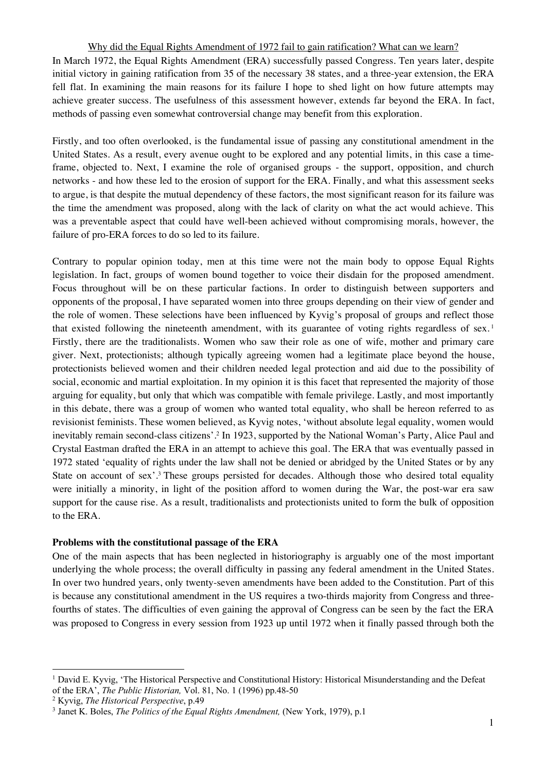Why did the Equal Rights Amendment of 1972 fail to gain ratification? What can we learn? In March 1972, the Equal Rights Amendment (ERA) successfully passed Congress. Ten years later, despite initial victory in gaining ratification from 35 of the necessary 38 states, and a three-year extension, the ERA fell flat. In examining the main reasons for its failure I hope to shed light on how future attempts may achieve greater success. The usefulness of this assessment however, extends far beyond the ERA. In fact, methods of passing even somewhat controversial change may benefit from this exploration.

Firstly, and too often overlooked, is the fundamental issue of passing any constitutional amendment in the United States. As a result, every avenue ought to be explored and any potential limits, in this case a timeframe, objected to. Next, I examine the role of organised groups - the support, opposition, and church networks - and how these led to the erosion of support for the ERA. Finally, and what this assessment seeks to argue, is that despite the mutual dependency of these factors, the most significant reason for its failure was the time the amendment was proposed, along with the lack of clarity on what the act would achieve. This was a preventable aspect that could have well-been achieved without compromising morals, however, the failure of pro-ERA forces to do so led to its failure.

Contrary to popular opinion today, men at this time were not the main body to oppose Equal Rights legislation. In fact, groups of women bound together to voice their disdain for the proposed amendment. Focus throughout will be on these particular factions. In order to distinguish between supporters and opponents of the proposal, I have separated women into three groups depending on their view of gender and the role of women. These selections have been influenced by Kyvig's proposal of groups and reflect those that existed following the nineteenth amendment, with its guarantee of voting rights regardless of sex.<sup>1</sup> Firstly, there are the traditionalists. Women who saw their role as one of wife, mother and primary care giver. Next, protectionists; although typically agreeing women had a legitimate place beyond the house, protectionists believed women and their children needed legal protection and aid due to the possibility of social, economic and martial exploitation. In my opinion it is this facet that represented the majority of those arguing for equality, but only that which was compatible with female privilege. Lastly, and most importantly in this debate, there was a group of women who wanted total equality, who shall be hereon referred to as revisionist feminists. These women believed, as Kyvig notes, 'without absolute legal equality, women would inevitably remain second-class citizens'.2 In 1923, supported by the National Woman's Party, Alice Paul and Crystal Eastman drafted the ERA in an attempt to achieve this goal. The ERA that was eventually passed in 1972 stated 'equality of rights under the law shall not be denied or abridged by the United States or by any State on account of sex'.<sup>3</sup> These groups persisted for decades. Although those who desired total equality were initially a minority, in light of the position afford to women during the War, the post-war era saw support for the cause rise. As a result, traditionalists and protectionists united to form the bulk of opposition to the ERA.

### **Problems with the constitutional passage of the ERA**

One of the main aspects that has been neglected in historiography is arguably one of the most important underlying the whole process; the overall difficulty in passing any federal amendment in the United States. In over two hundred years, only twenty-seven amendments have been added to the Constitution. Part of this is because any constitutional amendment in the US requires a two-thirds majority from Congress and threefourths of states. The difficulties of even gaining the approval of Congress can be seen by the fact the ERA was proposed to Congress in every session from 1923 up until 1972 when it finally passed through both the

<sup>&</sup>lt;sup>1</sup> David E. Kyvig, 'The Historical Perspective and Constitutional History: Historical Misunderstanding and the Defeat of the ERA', *The Public Historian,* Vol. 81, No. 1 (1996) pp.48-50

<sup>2</sup> Kyvig, *The Historical Perspective*, p.49

<sup>3</sup> Janet K. Boles, *The Politics of the Equal Rights Amendment,* (New York, 1979), p.1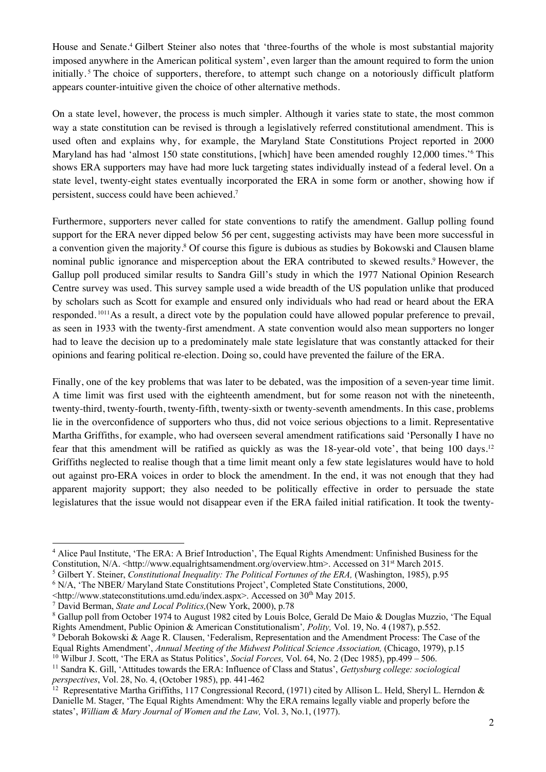House and Senate.4 Gilbert Steiner also notes that 'three-fourths of the whole is most substantial majority imposed anywhere in the American political system', even larger than the amount required to form the union initially. <sup>5</sup> The choice of supporters, therefore, to attempt such change on a notoriously difficult platform appears counter-intuitive given the choice of other alternative methods.

On a state level, however, the process is much simpler. Although it varies state to state, the most common way a state constitution can be revised is through a legislatively referred constitutional amendment. This is used often and explains why, for example, the Maryland State Constitutions Project reported in 2000 Maryland has had 'almost 150 state constitutions, [which] have been amended roughly 12,000 times.'6 This shows ERA supporters may have had more luck targeting states individually instead of a federal level. On a state level, twenty-eight states eventually incorporated the ERA in some form or another, showing how if persistent, success could have been achieved.7

Furthermore, supporters never called for state conventions to ratify the amendment. Gallup polling found support for the ERA never dipped below 56 per cent, suggesting activists may have been more successful in a convention given the majority. <sup>8</sup> Of course this figure is dubious as studies by Bokowski and Clausen blame nominal public ignorance and misperception about the ERA contributed to skewed results.<sup>9</sup> However, the Gallup poll produced similar results to Sandra Gill's study in which the 1977 National Opinion Research Centre survey was used. This survey sample used a wide breadth of the US population unlike that produced by scholars such as Scott for example and ensured only individuals who had read or heard about the ERA responded. 1011As a result, a direct vote by the population could have allowed popular preference to prevail, as seen in 1933 with the twenty-first amendment. A state convention would also mean supporters no longer had to leave the decision up to a predominately male state legislature that was constantly attacked for their opinions and fearing political re-election. Doing so, could have prevented the failure of the ERA.

Finally, one of the key problems that was later to be debated, was the imposition of a seven-year time limit. A time limit was first used with the eighteenth amendment, but for some reason not with the nineteenth, twenty-third, twenty-fourth, twenty-fifth, twenty-sixth or twenty-seventh amendments. In this case, problems lie in the overconfidence of supporters who thus, did not voice serious objections to a limit. Representative Martha Griffiths, for example, who had overseen several amendment ratifications said 'Personally I have no fear that this amendment will be ratified as quickly as was the 18-year-old vote', that being 100 days.12 Griffiths neglected to realise though that a time limit meant only a few state legislatures would have to hold out against pro-ERA voices in order to block the amendment. In the end, it was not enough that they had apparent majority support; they also needed to be politically effective in order to persuade the state legislatures that the issue would not disappear even if the ERA failed initial ratification. It took the twenty-

<sup>10</sup> Wilbur J. Scott, 'The ERA as Status Politics', *Social Forces*, Vol. 64, No. 2 (Dec 1985), pp.499 – 506.<br><sup>11</sup> Sandra K. Gill, 'Attitudes towards the ERA: Influence of Class and Status', *Gettysburg college: sociologi* 

<sup>4</sup> Alice Paul Institute, 'The ERA: A Brief Introduction', The Equal Rights Amendment: Unfinished Business for the Constitution, N/A. <http://www.equalrightsamendment.org/overview.htm>. Accessed on 31<sup>st</sup> March 2015.

<sup>5</sup> Gilbert Y. Steiner, *Constitutional Inequality: The Political Fortunes of the ERA,* (Washington, 1985), p.95

<sup>6</sup> N/A, 'The NBER/ Maryland State Constitutions Project', Completed State Constitutions, 2000,

<sup>&</sup>lt;http://www.stateconstitutions.umd.edu/index.aspx>. Accessed on 30th May 2015.

<sup>7</sup> David Berman, *State and Local Politics,*(New York, 2000), p.78

<sup>&</sup>lt;sup>8</sup> Gallup poll from October 1974 to August 1982 cited by Louis Bolce, Gerald De Maio & Douglas Muzzio, 'The Equal Rights Amendment, Public Opinion & American Constitutionalism'*, Polity,* Vol. 19, No. 4 (1987), p.552.

<sup>9</sup> Deborah Bokowski & Aage R. Clausen, 'Federalism, Representation and the Amendment Process: The Case of the Equal Rights Amendment', *Annual Meeting of the Midwest Political Science Association,* (Chicago, 1979), p.15

*perspectives*, Vol. 28, No. 4, (October 1985), pp. 441-462

<sup>&</sup>lt;sup>12</sup> Representative Martha Griffiths, 117 Congressional Record, (1971) cited by Allison L. Held, Sheryl L. Herndon & Danielle M. Stager, 'The Equal Rights Amendment: Why the ERA remains legally viable and properly before the states', *William & Mary Journal of Women and the Law,* Vol. 3, No.1, (1977).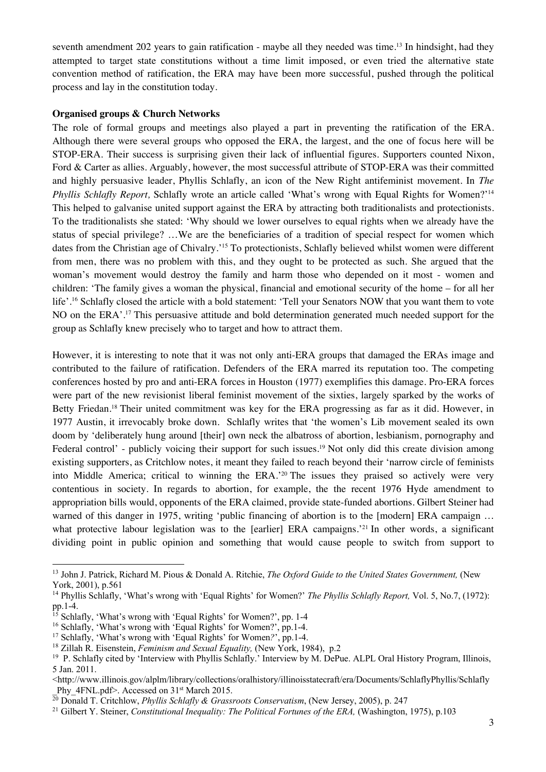seventh amendment 202 years to gain ratification - maybe all they needed was time.<sup>13</sup> In hindsight, had they attempted to target state constitutions without a time limit imposed, or even tried the alternative state convention method of ratification, the ERA may have been more successful, pushed through the political process and lay in the constitution today.

#### **Organised groups & Church Networks**

The role of formal groups and meetings also played a part in preventing the ratification of the ERA. Although there were several groups who opposed the ERA, the largest, and the one of focus here will be STOP-ERA. Their success is surprising given their lack of influential figures. Supporters counted Nixon, Ford & Carter as allies. Arguably, however, the most successful attribute of STOP-ERA was their committed and highly persuasive leader, Phyllis Schlafly, an icon of the New Right antifeminist movement. In *The Phyllis Schlafly Report,* Schlafly wrote an article called 'What's wrong with Equal Rights for Women?'14 This helped to galvanise united support against the ERA by attracting both traditionalists and protectionists. To the traditionalists she stated: 'Why should we lower ourselves to equal rights when we already have the status of special privilege? …We are the beneficiaries of a tradition of special respect for women which dates from the Christian age of Chivalry.'15 To protectionists, Schlafly believed whilst women were different from men, there was no problem with this, and they ought to be protected as such. She argued that the woman's movement would destroy the family and harm those who depended on it most - women and children: 'The family gives a woman the physical, financial and emotional security of the home – for all her life'.16 Schlafly closed the article with a bold statement: 'Tell your Senators NOW that you want them to vote NO on the ERA'.17 This persuasive attitude and bold determination generated much needed support for the group as Schlafly knew precisely who to target and how to attract them.

However, it is interesting to note that it was not only anti-ERA groups that damaged the ERAs image and contributed to the failure of ratification. Defenders of the ERA marred its reputation too. The competing conferences hosted by pro and anti-ERA forces in Houston (1977) exemplifies this damage. Pro-ERA forces were part of the new revisionist liberal feminist movement of the sixties, largely sparked by the works of Betty Friedan.<sup>18</sup> Their united commitment was key for the ERA progressing as far as it did. However, in 1977 Austin, it irrevocably broke down. Schlafly writes that 'the women's Lib movement sealed its own doom by 'deliberately hung around [their] own neck the albatross of abortion, lesbianism, pornography and Federal control' - publicly voicing their support for such issues.<sup>19</sup> Not only did this create division among existing supporters, as Critchlow notes, it meant they failed to reach beyond their 'narrow circle of feminists into Middle America; critical to winning the ERA.'20 The issues they praised so actively were very contentious in society. In regards to abortion, for example, the the recent 1976 Hyde amendment to appropriation bills would, opponents of the ERA claimed, provide state-funded abortions. Gilbert Steiner had warned of this danger in 1975, writing 'public financing of abortion is to the [modern] ERA campaign ... what protective labour legislation was to the [earlier] ERA campaigns.<sup>221</sup> In other words, a significant dividing point in public opinion and something that would cause people to switch from support to

<sup>13</sup> John J. Patrick, Richard M. Pious & Donald A. Ritchie, *The Oxford Guide to the United States Government,* (New York, 2001), p.561

<sup>14</sup> Phyllis Schlafly, 'What's wrong with 'Equal Rights' for Women?' *The Phyllis Schlafly Report,* Vol. 5, No.7, (1972): pp.1-4. 15 Schlafly, 'What's wrong with 'Equal Rights' for Women?', pp. 1-4

<sup>16</sup> Schlafly, 'What's wrong with 'Equal Rights' for Women?', pp.1-4.

<sup>17</sup> Schlafly, 'What's wrong with 'Equal Rights' for Women*?*', pp.1-4.

<sup>18</sup> Zillah R. Eisenstein, *Feminism and Sexual Equality,* (New York, 1984), p.2

<sup>&</sup>lt;sup>19</sup> P. Schlafly cited by 'Interview with Phyllis Schlafly.' Interview by M. DePue. ALPL Oral History Program, Illinois, 5 Jan. 2011.

<sup>&</sup>lt;http://www.illinois.gov/alplm/library/collections/oralhistory/illinoisstatecraft/era/Documents/SchlaflyPhyllis/Schlafly \_Phy\_4FNL.pdf>. Accessed on 31st March 2015. 20 Donald T. Critchlow, *Phyllis Schlafly & Grassroots Conservatism*, (New Jersey, 2005), p. 247

<sup>&</sup>lt;sup>21</sup> Gilbert Y. Steiner, *Constitutional Inequality: The Political Fortunes of the ERA*, (Washington, 1975), p.103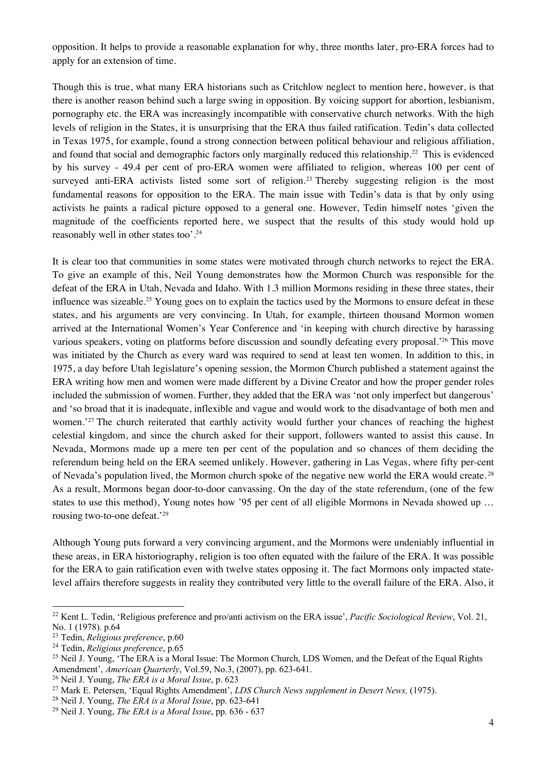opposition. It helps to provide a reasonable explanation for why, three months later, pro-ERA forces had to apply for an extension of time.

Though this is true, what many ERA historians such as Critchlow neglect to mention here, however, is that there is another reason behind such a large swing in opposition. By voicing support for abortion, lesbianism, pornography etc. the ERA was increasingly incompatible with conservative church networks. With the high levels of religion in the States, it is unsurprising that the ERA thus failed ratification. Tedin's data collected in Texas 1975, for example, found a strong connection between political behaviour and religious affiliation, and found that social and demographic factors only marginally reduced this relationship.22 This is evidenced by his survey - 49.4 per cent of pro-ERA women were affiliated to religion, whereas 100 per cent of surveyed anti-ERA activists listed some sort of religion.<sup>23</sup> Thereby suggesting religion is the most fundamental reasons for opposition to the ERA. The main issue with Tedin's data is that by only using activists he paints a radical picture opposed to a general one. However, Tedin himself notes 'given the magnitude of the coefficients reported here, we suspect that the results of this study would hold up reasonably well in other states too'.24

It is clear too that communities in some states were motivated through church networks to reject the ERA. To give an example of this, Neil Young demonstrates how the Mormon Church was responsible for the defeat of the ERA in Utah, Nevada and Idaho. With 1.3 million Mormons residing in these three states, their influence was sizeable.<sup>25</sup> Young goes on to explain the tactics used by the Mormons to ensure defeat in these states, and his arguments are very convincing. In Utah, for example, thirteen thousand Mormon women arrived at the International Women's Year Conference and 'in keeping with church directive by harassing various speakers, voting on platforms before discussion and soundly defeating every proposal.'26 This move was initiated by the Church as every ward was required to send at least ten women. In addition to this, in 1975, a day before Utah legislature's opening session, the Mormon Church published a statement against the ERA writing how men and women were made different by a Divine Creator and how the proper gender roles included the submission of women. Further, they added that the ERA was 'not only imperfect but dangerous' and 'so broad that it is inadequate, inflexible and vague and would work to the disadvantage of both men and women.<sup>'27</sup> The church reiterated that earthly activity would further your chances of reaching the highest celestial kingdom, and since the church asked for their support, followers wanted to assist this cause. In Nevada, Mormons made up a mere ten per cent of the population and so chances of them deciding the referendum being held on the ERA seemed unlikely. However, gathering in Las Vegas, where fifty per-cent of Nevada's population lived, the Mormon church spoke of the negative new world the ERA would create. <sup>28</sup> As a result, Mormons began door-to-door canvassing. On the day of the state referendum, (one of the few states to use this method), Young notes how '95 per cent of all eligible Mormons in Nevada showed up … rousing two-to-one defeat.'29

Although Young puts forward a very convincing argument, and the Mormons were undeniably influential in these areas, in ERA historiography, religion is too often equated with the failure of the ERA. It was possible for the ERA to gain ratification even with twelve states opposing it. The fact Mormons only impacted statelevel affairs therefore suggests in reality they contributed very little to the overall failure of the ERA. Also, it

<sup>22</sup> Kent L. Tedin, 'Religious preference and pro/anti activism on the ERA issue', *Pacific Sociological Review*, Vol. 21, No. 1 (1978). p.64

<sup>23</sup> Tedin, *Religious preference*, p.60

<sup>24</sup> Tedin, *Religious preference*, p.65

<sup>&</sup>lt;sup>25</sup> Neil J. Young, 'The ERA is a Moral Issue: The Mormon Church, LDS Women, and the Defeat of the Equal Rights Amendment', *American Quarterly*, Vol.59, No.3, (2007), pp. 623-641.

<sup>26</sup> Neil J. Young, *The ERA is a Moral Issue*, p. 623

<sup>27</sup> Mark E. Petersen, 'Equal Rights Amendment', *LDS Church News supplement in Desert News,* (1975). 28 Neil J. Young, *The ERA is a Moral Issue*, pp. 623-641

<sup>29</sup> Neil J. Young, *The ERA is a Moral Issue*, pp. 636 - 637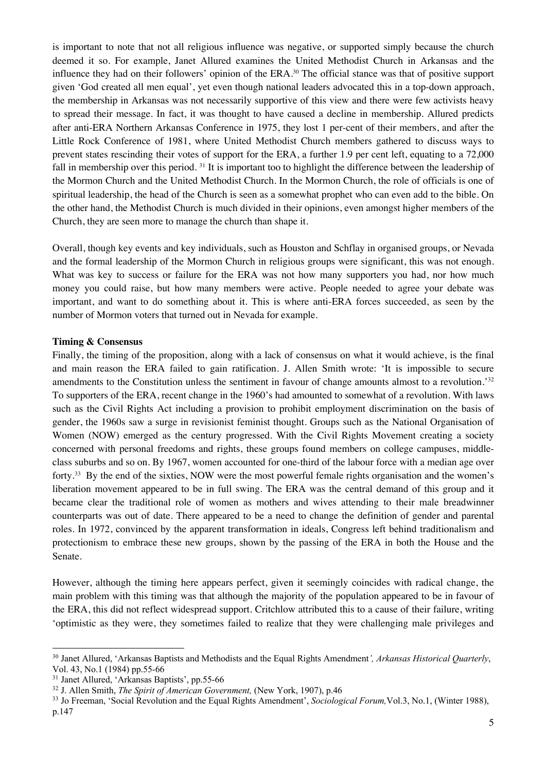is important to note that not all religious influence was negative, or supported simply because the church deemed it so. For example, Janet Allured examines the United Methodist Church in Arkansas and the influence they had on their followers' opinion of the ERA.30 The official stance was that of positive support given 'God created all men equal', yet even though national leaders advocated this in a top-down approach, the membership in Arkansas was not necessarily supportive of this view and there were few activists heavy to spread their message. In fact, it was thought to have caused a decline in membership. Allured predicts after anti-ERA Northern Arkansas Conference in 1975, they lost 1 per-cent of their members, and after the Little Rock Conference of 1981, where United Methodist Church members gathered to discuss ways to prevent states rescinding their votes of support for the ERA, a further 1.9 per cent left, equating to a 72,000 fall in membership over this period. 31 It is important too to highlight the difference between the leadership of the Mormon Church and the United Methodist Church. In the Mormon Church, the role of officials is one of spiritual leadership, the head of the Church is seen as a somewhat prophet who can even add to the bible. On the other hand, the Methodist Church is much divided in their opinions, even amongst higher members of the Church, they are seen more to manage the church than shape it.

Overall, though key events and key individuals, such as Houston and Schflay in organised groups, or Nevada and the formal leadership of the Mormon Church in religious groups were significant, this was not enough. What was key to success or failure for the ERA was not how many supporters you had, nor how much money you could raise, but how many members were active. People needed to agree your debate was important, and want to do something about it. This is where anti-ERA forces succeeded, as seen by the number of Mormon voters that turned out in Nevada for example.

### **Timing & Consensus**

Finally, the timing of the proposition, along with a lack of consensus on what it would achieve, is the final and main reason the ERA failed to gain ratification. J. Allen Smith wrote: 'It is impossible to secure amendments to the Constitution unless the sentiment in favour of change amounts almost to a revolution.'32 To supporters of the ERA, recent change in the 1960's had amounted to somewhat of a revolution. With laws such as the Civil Rights Act including a provision to prohibit employment discrimination on the basis of gender, the 1960s saw a surge in revisionist feminist thought. Groups such as the National Organisation of Women (NOW) emerged as the century progressed. With the Civil Rights Movement creating a society concerned with personal freedoms and rights, these groups found members on college campuses, middleclass suburbs and so on. By 1967, women accounted for one-third of the labour force with a median age over forty.33 By the end of the sixties, NOW were the most powerful female rights organisation and the women's liberation movement appeared to be in full swing. The ERA was the central demand of this group and it became clear the traditional role of women as mothers and wives attending to their male breadwinner counterparts was out of date. There appeared to be a need to change the definition of gender and parental roles. In 1972, convinced by the apparent transformation in ideals, Congress left behind traditionalism and protectionism to embrace these new groups, shown by the passing of the ERA in both the House and the Senate.

However, although the timing here appears perfect, given it seemingly coincides with radical change, the main problem with this timing was that although the majority of the population appeared to be in favour of the ERA, this did not reflect widespread support. Critchlow attributed this to a cause of their failure, writing 'optimistic as they were, they sometimes failed to realize that they were challenging male privileges and

<sup>30</sup> Janet Allured, 'Arkansas Baptists and Methodists and the Equal Rights Amendment*', Arkansas Historical Quarterly*, Vol. 43, No.1 (1984) pp.55-66

<sup>&</sup>lt;sup>31</sup> Janet Allured, 'Arkansas Baptists', pp.55-66<br><sup>32</sup> J. Allen Smith, *The Spirit of American Government*, (New York, 1907), p.46

<sup>&</sup>lt;sup>33</sup> Jo Freeman, 'Social Revolution and the Equal Rights Amendment', *Sociological Forum*,Vol.3, No.1, (Winter 1988), p.147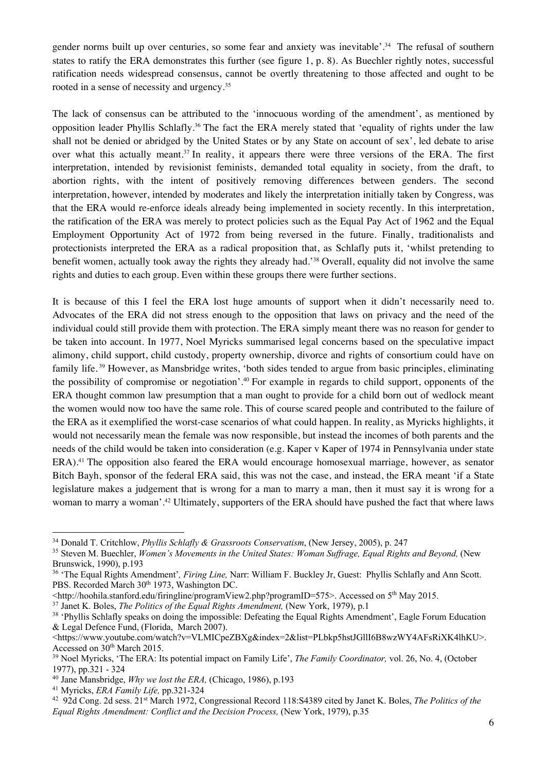gender norms built up over centuries, so some fear and anxiety was inevitable'.<sup>34</sup> The refusal of southern states to ratify the ERA demonstrates this further (see figure 1, p. 8). As Buechler rightly notes, successful ratification needs widespread consensus, cannot be overtly threatening to those affected and ought to be rooted in a sense of necessity and urgency.35

The lack of consensus can be attributed to the 'innocuous wording of the amendment', as mentioned by opposition leader Phyllis Schlafly. <sup>36</sup> The fact the ERA merely stated that 'equality of rights under the law shall not be denied or abridged by the United States or by any State on account of sex', led debate to arise over what this actually meant.<sup>37</sup> In reality, it appears there were three versions of the ERA. The first interpretation, intended by revisionist feminists, demanded total equality in society, from the draft, to abortion rights, with the intent of positively removing differences between genders. The second interpretation, however, intended by moderates and likely the interpretation initially taken by Congress, was that the ERA would re-enforce ideals already being implemented in society recently. In this interpretation, the ratification of the ERA was merely to protect policies such as the Equal Pay Act of 1962 and the Equal Employment Opportunity Act of 1972 from being reversed in the future. Finally, traditionalists and protectionists interpreted the ERA as a radical proposition that, as Schlafly puts it, 'whilst pretending to benefit women, actually took away the rights they already had.'38 Overall, equality did not involve the same rights and duties to each group. Even within these groups there were further sections.

It is because of this I feel the ERA lost huge amounts of support when it didn't necessarily need to. Advocates of the ERA did not stress enough to the opposition that laws on privacy and the need of the individual could still provide them with protection. The ERA simply meant there was no reason for gender to be taken into account. In 1977, Noel Myricks summarised legal concerns based on the speculative impact alimony, child support, child custody, property ownership, divorce and rights of consortium could have on family life. <sup>39</sup> However, as Mansbridge writes, 'both sides tended to argue from basic principles, eliminating the possibility of compromise or negotiation'.40 For example in regards to child support, opponents of the ERA thought common law presumption that a man ought to provide for a child born out of wedlock meant the women would now too have the same role. This of course scared people and contributed to the failure of the ERA as it exemplified the worst-case scenarios of what could happen. In reality, as Myricks highlights, it would not necessarily mean the female was now responsible, but instead the incomes of both parents and the needs of the child would be taken into consideration (e.g. Kaper v Kaper of 1974 in Pennsylvania under state ERA).41 The opposition also feared the ERA would encourage homosexual marriage, however, as senator Bitch Bayh, sponsor of the federal ERA said, this was not the case, and instead, the ERA meant 'if a State legislature makes a judgement that is wrong for a man to marry a man, then it must say it is wrong for a woman to marry a woman'.42 Ultimately, supporters of the ERA should have pushed the fact that where laws

<sup>37</sup> Janet K. Boles, *The Politics of the Equal Rights Amendment,* (New York, 1979), p.1

<sup>34</sup> Donald T. Critchlow, *Phyllis Schlafly & Grassroots Conservatism*, (New Jersey, 2005), p. 247

<sup>&</sup>lt;sup>35</sup> Steven M. Buechler, *Women's Movements in the United States: Woman Suffrage, Equal Rights and Beyond, (New* Brunswick, 1990), p.193

<sup>36</sup> 'The Equal Rights Amendment'*, Firing Line,* Narr: William F. Buckley Jr, Guest: Phyllis Schlafly and Ann Scott. PBS. Recorded March 30<sup>th</sup> 1973, Washington DC.

<sup>&</sup>lt;http://hoohila.stanford.edu/firingline/programView2.php?programID=575>. Accessed on 5th May 2015.

<sup>&</sup>lt;sup>38</sup> 'Phyllis Schlafly speaks on doing the impossible: Defeating the Equal Rights Amendment', Eagle Forum Education & Legal Defence Fund, (Florida, March 2007).

<sup>&</sup>lt;https://www.youtube.com/watch?v=VLMICpeZBXg&index=2&list=PLbkp5hstJGllI6B8wzWY4AFsRiXK4lhKU>. Accessed on 30<sup>th</sup> March 2015.

<sup>39</sup> Noel Myricks, 'The ERA: Its potential impact on Family Life', *The Family Coordinator,* vol. 26, No. 4, (October 1977), pp.321 - 324

<sup>40</sup> Jane Mansbridge, *Why we lost the ERA,* (Chicago, 1986), p.193

<sup>41</sup> Myricks, *ERA Family Life,* pp.321-324

<sup>42 92</sup>d Cong. 2d sess. 21st March 1972, Congressional Record 118:S4389 cited by Janet K. Boles, *The Politics of the Equal Rights Amendment: Conflict and the Decision Process,* (New York, 1979), p.35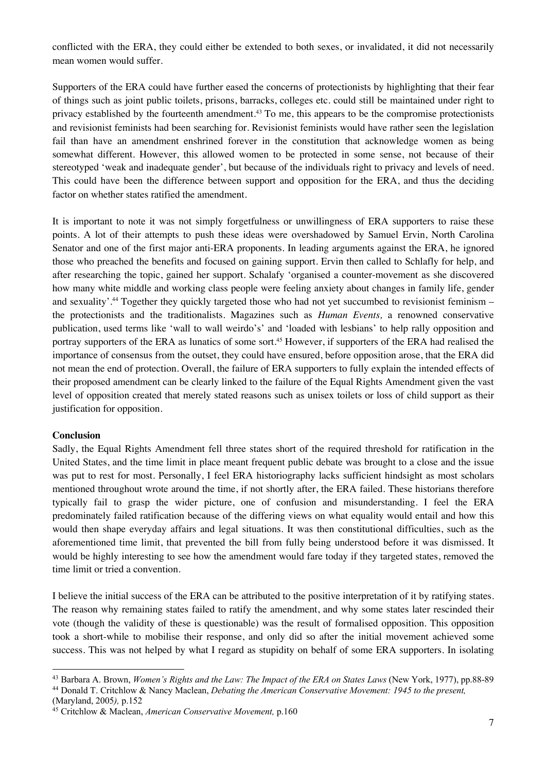conflicted with the ERA, they could either be extended to both sexes, or invalidated, it did not necessarily mean women would suffer.

Supporters of the ERA could have further eased the concerns of protectionists by highlighting that their fear of things such as joint public toilets, prisons, barracks, colleges etc. could still be maintained under right to privacy established by the fourteenth amendment.<sup>43</sup> To me, this appears to be the compromise protectionists and revisionist feminists had been searching for. Revisionist feminists would have rather seen the legislation fail than have an amendment enshrined forever in the constitution that acknowledge women as being somewhat different. However, this allowed women to be protected in some sense, not because of their stereotyped 'weak and inadequate gender', but because of the individuals right to privacy and levels of need. This could have been the difference between support and opposition for the ERA, and thus the deciding factor on whether states ratified the amendment.

It is important to note it was not simply forgetfulness or unwillingness of ERA supporters to raise these points. A lot of their attempts to push these ideas were overshadowed by Samuel Ervin, North Carolina Senator and one of the first major anti-ERA proponents. In leading arguments against the ERA, he ignored those who preached the benefits and focused on gaining support. Ervin then called to Schlafly for help, and after researching the topic, gained her support. Schalafy 'organised a counter-movement as she discovered how many white middle and working class people were feeling anxiety about changes in family life, gender and sexuality'. <sup>44</sup> Together they quickly targeted those who had not yet succumbed to revisionist feminism – the protectionists and the traditionalists. Magazines such as *Human Events,* a renowned conservative publication, used terms like 'wall to wall weirdo's' and 'loaded with lesbians' to help rally opposition and portray supporters of the ERA as lunatics of some sort.<sup>45</sup> However, if supporters of the ERA had realised the importance of consensus from the outset, they could have ensured, before opposition arose, that the ERA did not mean the end of protection. Overall, the failure of ERA supporters to fully explain the intended effects of their proposed amendment can be clearly linked to the failure of the Equal Rights Amendment given the vast level of opposition created that merely stated reasons such as unisex toilets or loss of child support as their justification for opposition.

### **Conclusion**

Sadly, the Equal Rights Amendment fell three states short of the required threshold for ratification in the United States, and the time limit in place meant frequent public debate was brought to a close and the issue was put to rest for most. Personally, I feel ERA historiography lacks sufficient hindsight as most scholars mentioned throughout wrote around the time, if not shortly after, the ERA failed. These historians therefore typically fail to grasp the wider picture, one of confusion and misunderstanding. I feel the ERA predominately failed ratification because of the differing views on what equality would entail and how this would then shape everyday affairs and legal situations. It was then constitutional difficulties, such as the aforementioned time limit, that prevented the bill from fully being understood before it was dismissed. It would be highly interesting to see how the amendment would fare today if they targeted states, removed the time limit or tried a convention.

I believe the initial success of the ERA can be attributed to the positive interpretation of it by ratifying states. The reason why remaining states failed to ratify the amendment, and why some states later rescinded their vote (though the validity of these is questionable) was the result of formalised opposition. This opposition took a short-while to mobilise their response, and only did so after the initial movement achieved some success. This was not helped by what I regard as stupidity on behalf of some ERA supporters. In isolating

<sup>43</sup> Barbara A. Brown, *Women's Rights and the Law: The Impact of the ERA on States Laws* (New York, 1977), pp.88-89 <sup>44</sup> Donald T. Critchlow & Nancy Maclean, *Debating the American Conservative Movement: 1945 to the present,* 

<sup>(</sup>Maryland, 2005*),* p.152

<sup>45</sup> Critchlow & Maclean, *American Conservative Movement,* p.160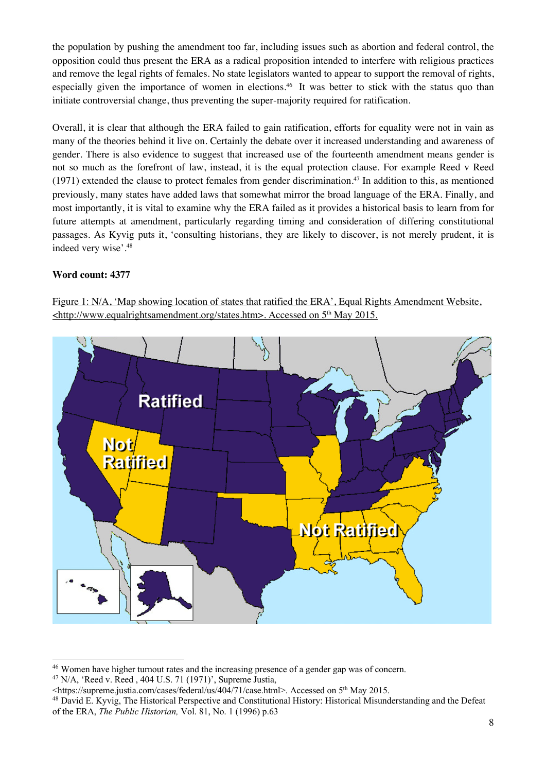the population by pushing the amendment too far, including issues such as abortion and federal control, the opposition could thus present the ERA as a radical proposition intended to interfere with religious practices and remove the legal rights of females. No state legislators wanted to appear to support the removal of rights, especially given the importance of women in elections. 46 It was better to stick with the status quo than initiate controversial change, thus preventing the super-majority required for ratification.

Overall, it is clear that although the ERA failed to gain ratification, efforts for equality were not in vain as many of the theories behind it live on. Certainly the debate over it increased understanding and awareness of gender. There is also evidence to suggest that increased use of the fourteenth amendment means gender is not so much as the forefront of law, instead, it is the equal protection clause. For example Reed v Reed (1971) extended the clause to protect females from gender discrimination.<sup>47</sup> In addition to this, as mentioned previously, many states have added laws that somewhat mirror the broad language of the ERA. Finally, and most importantly, it is vital to examine why the ERA failed as it provides a historical basis to learn from for future attempts at amendment, particularly regarding timing and consideration of differing constitutional passages. As Kyvig puts it, 'consulting historians, they are likely to discover, is not merely prudent, it is indeed very wise'.48

# **Word count: 4377**



Figure 1: N/A, 'Map showing location of states that ratified the ERA', Equal Rights Amendment Website, <http://www.equalrightsamendment.org/states.htm>. Accessed on 5<sup>th</sup> May 2015.

<sup>46</sup> Women have higher turnout rates and the increasing presence of a gender gap was of concern.  $47$  N/A, 'Reed v. Reed,  $404$  U.S. 71 (1971)', Supreme Justia,

<sup>&</sup>lt;https://supreme.justia.com/cases/federal/us/404/71/case.html>. Accessed on 5th May 2015.

<sup>48</sup> David E. Kyvig, The Historical Perspective and Constitutional History: Historical Misunderstanding and the Defeat of the ERA, *The Public Historian,* Vol. 81, No. 1 (1996) p.63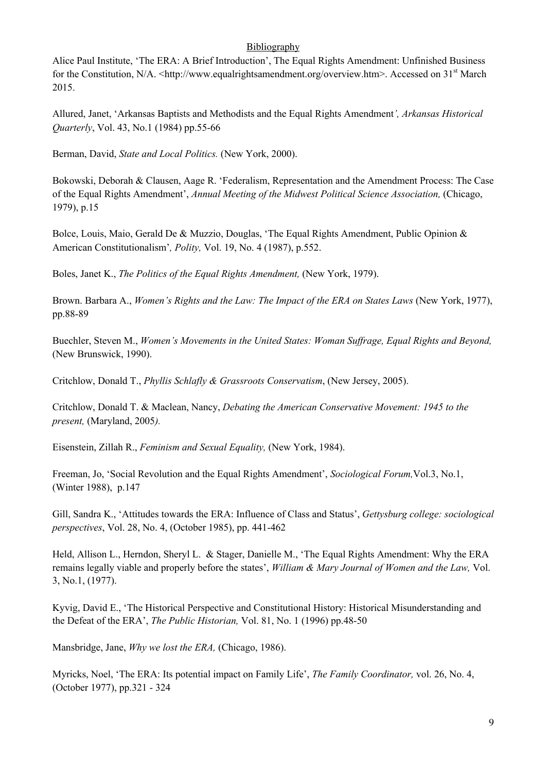## **Bibliography**

Alice Paul Institute, 'The ERA: A Brief Introduction', The Equal Rights Amendment: Unfinished Business for the Constitution, N/A. <http://www.equalrightsamendment.org/overview.htm>. Accessed on 31<sup>st</sup> March 2015.

Allured, Janet, 'Arkansas Baptists and Methodists and the Equal Rights Amendment*', Arkansas Historical Quarterly*, Vol. 43, No.1 (1984) pp.55-66

Berman, David, *State and Local Politics.* (New York, 2000).

Bokowski, Deborah & Clausen, Aage R. 'Federalism, Representation and the Amendment Process: The Case of the Equal Rights Amendment', *Annual Meeting of the Midwest Political Science Association,* (Chicago, 1979), p.15

Bolce, Louis, Maio, Gerald De & Muzzio, Douglas, 'The Equal Rights Amendment, Public Opinion & American Constitutionalism'*, Polity,* Vol. 19, No. 4 (1987), p.552.

Boles, Janet K., *The Politics of the Equal Rights Amendment,* (New York, 1979).

Brown. Barbara A., *Women's Rights and the Law: The Impact of the ERA on States Laws* (New York, 1977), pp.88-89

Buechler, Steven M., *Women's Movements in the United States: Woman Suffrage, Equal Rights and Beyond,*  (New Brunswick, 1990).

Critchlow, Donald T., *Phyllis Schlafly & Grassroots Conservatism*, (New Jersey, 2005).

Critchlow, Donald T. & Maclean, Nancy, *Debating the American Conservative Movement: 1945 to the present,* (Maryland, 2005*).*

Eisenstein, Zillah R., *Feminism and Sexual Equality,* (New York, 1984).

Freeman, Jo, 'Social Revolution and the Equal Rights Amendment', *Sociological Forum,*Vol.3, No.1, (Winter 1988),p.147

Gill, Sandra K., 'Attitudes towards the ERA: Influence of Class and Status', *Gettysburg college: sociological perspectives*, Vol. 28, No. 4, (October 1985), pp. 441-462

Held, Allison L., Herndon, Sheryl L. & Stager, Danielle M., 'The Equal Rights Amendment: Why the ERA remains legally viable and properly before the states', *William & Mary Journal of Women and the Law,* Vol. 3, No.1, (1977).

Kyvig, David E., 'The Historical Perspective and Constitutional History: Historical Misunderstanding and the Defeat of the ERA', *The Public Historian,* Vol. 81, No. 1 (1996) pp.48-50

Mansbridge, Jane, *Why we lost the ERA,* (Chicago, 1986).

Myricks, Noel, 'The ERA: Its potential impact on Family Life', *The Family Coordinator,* vol. 26, No. 4, (October 1977), pp.321 - 324